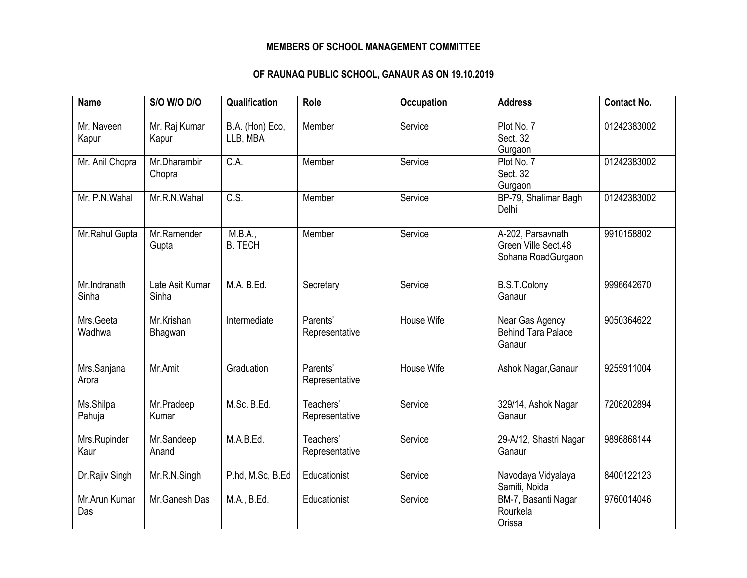## **MEMBERS OF SCHOOL MANAGEMENT COMMITTEE**

## **OF RAUNAQ PUBLIC SCHOOL, GANAUR AS ON 19.10.2019**

| <b>Name</b>           | <b>S/O W/O D/O</b>       | Qualification               | Role                        | <b>Occupation</b> | <b>Address</b>                                                 | <b>Contact No.</b> |
|-----------------------|--------------------------|-----------------------------|-----------------------------|-------------------|----------------------------------------------------------------|--------------------|
| Mr. Naveen<br>Kapur   | Mr. Raj Kumar<br>Kapur   | B.A. (Hon) Eco,<br>LLB, MBA | Member                      | Service           | Plot No. 7<br>Sect. 32<br>Gurgaon                              | 01242383002        |
| Mr. Anil Chopra       | Mr.Dharambir<br>Chopra   | C.A.                        | Member                      | Service           | Plot No. 7<br>Sect. 32<br>Gurgaon                              | 01242383002        |
| Mr. P.N.Wahal         | Mr.R.N.Wahal             | $\overline{C.S.}$           | Member                      | Service           | BP-79, Shalimar Bagh<br>Delhi                                  | 01242383002        |
| Mr.Rahul Gupta        | Mr.Ramender<br>Gupta     | M.B.A.,<br><b>B. TECH</b>   | Member                      | Service           | A-202, Parsavnath<br>Green Ville Sect.48<br>Sohana RoadGurgaon | 9910158802         |
| Mr.Indranath<br>Sinha | Late Asit Kumar<br>Sinha | M.A, B.Ed.                  | Secretary                   | Service           | <b>B.S.T.Colony</b><br>Ganaur                                  | 9996642670         |
| Mrs.Geeta<br>Wadhwa   | Mr.Krishan<br>Bhagwan    | Intermediate                | Parents'<br>Representative  | House Wife        | Near Gas Agency<br><b>Behind Tara Palace</b><br>Ganaur         | 9050364622         |
| Mrs.Sanjana<br>Arora  | Mr.Amit                  | Graduation                  | Parents'<br>Representative  | <b>House Wife</b> | Ashok Nagar, Ganaur                                            | 9255911004         |
| Ms.Shilpa<br>Pahuja   | Mr.Pradeep<br>Kumar      | M.Sc. B.Ed.                 | Teachers'<br>Representative | Service           | 329/14, Ashok Nagar<br>Ganaur                                  | 7206202894         |
| Mrs.Rupinder<br>Kaur  | Mr.Sandeep<br>Anand      | M.A.B.Ed.                   | Teachers'<br>Representative | Service           | 29-A/12, Shastri Nagar<br>Ganaur                               | 9896868144         |
| Dr.Rajiv Singh        | Mr.R.N.Singh             | P.hd, M.Sc, B.Ed            | Educationist                | Service           | Navodaya Vidyalaya<br>Samiti, Noida                            | 8400122123         |
| Mr.Arun Kumar<br>Das  | Mr.Ganesh Das            | M.A., B.Ed.                 | Educationist                | Service           | BM-7, Basanti Nagar<br>Rourkela<br>Orissa                      | 9760014046         |